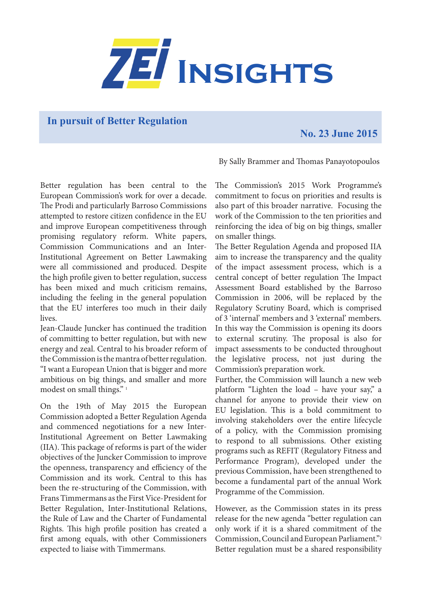

**In pursuit of Better Regulation**

## **No. 23 June 2015**

By Sally Brammer and Thomas Panayotopoulos

Better regulation has been central to the European Commission's work for over a decade. The Prodi and particularly Barroso Commissions attempted to restore citizen confidence in the EU and improve European competitiveness through promising regulatory reform. White papers, Commission Communications and an Inter-Institutional Agreement on Better Lawmaking were all commissioned and produced. Despite the high profile given to better regulation, success has been mixed and much criticism remains, including the feeling in the general population that the EU interferes too much in their daily lives.

Jean-Claude Juncker has continued the tradition of committing to better regulation, but with new energy and zeal. Central to his broader reform of the Commission is the mantra of better regulation. "I want a European Union that is bigger and more ambitious on big things, and smaller and more modest on small things."<sup>1</sup>

On the 19th of May 2015 the European Commission adopted a Better Regulation Agenda and commenced negotiations for a new Inter-Institutional Agreement on Better Lawmaking (IIA). This package of reforms is part of the wider objectives of the Juncker Commission to improve the openness, transparency and efficiency of the Commission and its work. Central to this has been the re-structuring of the Commission, with Frans Timmermans as the First Vice-President for Better Regulation, Inter-Institutional Relations, the Rule of Law and the Charter of Fundamental Rights. This high profile position has created a first among equals, with other Commissioners expected to liaise with Timmermans.

The Commission's 2015 Work Programme's commitment to focus on priorities and results is also part of this broader narrative. Focusing the work of the Commission to the ten priorities and reinforcing the idea of big on big things, smaller on smaller things.

The Better Regulation Agenda and proposed IIA aim to increase the transparency and the quality of the impact assessment process, which is a central concept of better regulation The Impact Assessment Board established by the Barroso Commission in 2006, will be replaced by the Regulatory Scrutiny Board, which is comprised of 3 'internal' members and 3 'external' members. In this way the Commission is opening its doors to external scrutiny. The proposal is also for impact assessments to be conducted throughout the legislative process, not just during the Commission's preparation work.

Further, the Commission will launch a new web platform "Lighten the load – have your say," a channel for anyone to provide their view on EU legislation. This is a bold commitment to involving stakeholders over the entire lifecycle of a policy, with the Commission promising to respond to all submissions. Other existing programs such as REFIT (Regulatory Fitness and Performance Program), developed under the previous Commission, have been strengthened to become a fundamental part of the annual Work Programme of the Commission.

However, as the Commission states in its press release for the new agenda "better regulation can only work if it is a shared commitment of the Commission, Council and European Parliament."2 Better regulation must be a shared responsibility